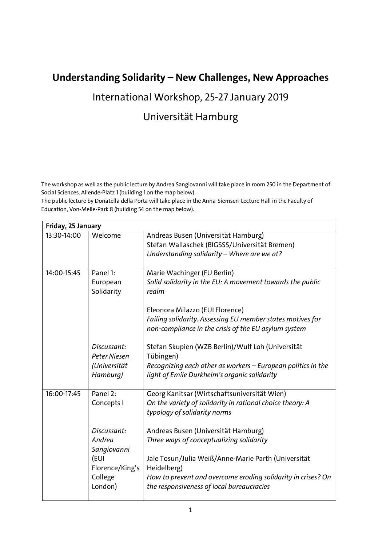## **Understanding Solidarity – New Challenges, New Approaches**

## International Workshop, 25-27 January 2019

## Universität Hamburg

The workshop as well as the public lecture by Andrea Sangiovanni will take place in room 250 in the Department of Social Sciences, Allende-Platz 1 (building 1 on the map below).

The public lecture by Donatella della Porta will take place in the Anna-Siemsen-Lecture Hall in the Faculty of Education, Von-Melle-Park 8 (building 54 on the map below).

| Friday, 25 January |                 |                                                              |  |  |  |  |  |  |
|--------------------|-----------------|--------------------------------------------------------------|--|--|--|--|--|--|
| 13:30-14:00        | Welcome         | Andreas Busen (Universität Hamburg)                          |  |  |  |  |  |  |
|                    |                 | Stefan Wallaschek (BIGSSS/Universität Bremen)                |  |  |  |  |  |  |
|                    |                 | Understanding solidarity - Where are we at?                  |  |  |  |  |  |  |
|                    |                 |                                                              |  |  |  |  |  |  |
| 14:00-15:45        | Panel 1:        | Marie Wachinger (FU Berlin)                                  |  |  |  |  |  |  |
|                    | European        | Solid solidarity in the EU: A movement towards the public    |  |  |  |  |  |  |
|                    | Solidarity      | realm                                                        |  |  |  |  |  |  |
|                    |                 |                                                              |  |  |  |  |  |  |
|                    |                 | Eleonora Milazzo (EUI Florence)                              |  |  |  |  |  |  |
|                    |                 | Failing solidarity. Assessing EU member states motives for   |  |  |  |  |  |  |
|                    |                 | non-compliance in the crisis of the EU asylum system         |  |  |  |  |  |  |
|                    |                 |                                                              |  |  |  |  |  |  |
|                    | Discussant:     | Stefan Skupien (WZB Berlin)/Wulf Loh (Universität            |  |  |  |  |  |  |
|                    | Peter Niesen    | Tübingen)                                                    |  |  |  |  |  |  |
|                    | (Universität    | Recognizing each other as workers - European politics in the |  |  |  |  |  |  |
|                    | Hamburg)        | light of Emile Durkheim's organic solidarity                 |  |  |  |  |  |  |
| 16:00-17:45        | Panel 2:        |                                                              |  |  |  |  |  |  |
|                    |                 | Georg Kanitsar (Wirtschaftsuniversität Wien)                 |  |  |  |  |  |  |
|                    | Concepts I      | On the variety of solidarity in rational choice theory: A    |  |  |  |  |  |  |
|                    |                 | typology of solidarity norms                                 |  |  |  |  |  |  |
|                    | Discussant:     | Andreas Busen (Universität Hamburg)                          |  |  |  |  |  |  |
|                    | Andrea          | Three ways of conceptualizing solidarity                     |  |  |  |  |  |  |
|                    | Sangiovanni     |                                                              |  |  |  |  |  |  |
|                    | (EUI            | Jale Tosun/Julia Weiß/Anne-Marie Parth (Universität          |  |  |  |  |  |  |
|                    | Florence/King's | Heidelberg)                                                  |  |  |  |  |  |  |
|                    | College         | How to prevent and overcome eroding solidarity in crises? On |  |  |  |  |  |  |
|                    | London)         | the responsiveness of local bureaucracies                    |  |  |  |  |  |  |
|                    |                 |                                                              |  |  |  |  |  |  |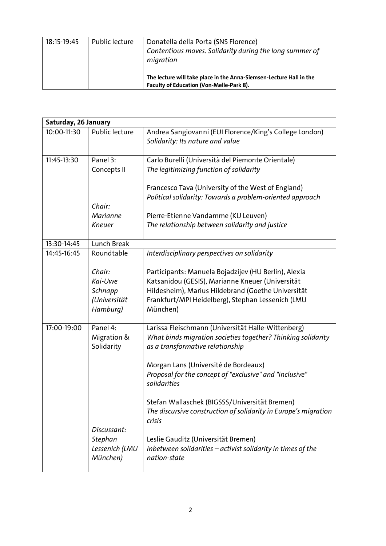| 18:15-19:45 | Public lecture | Donatella della Porta (SNS Florence)<br>Contentious moves. Solidarity during the long summer of<br>migration    |
|-------------|----------------|-----------------------------------------------------------------------------------------------------------------|
|             |                | The lecture will take place in the Anna-Siemsen-Lecture Hall in the<br>Faculty of Education (Von-Melle-Park 8). |

| Saturday, 26 January |                            |                                                                                                  |  |  |  |  |  |  |
|----------------------|----------------------------|--------------------------------------------------------------------------------------------------|--|--|--|--|--|--|
| 10:00-11:30          | Public lecture             | Andrea Sangiovanni (EUI Florence/King's College London)<br>Solidarity: Its nature and value      |  |  |  |  |  |  |
| 11:45-13:30          | Panel 3:                   | Carlo Burelli (Università del Piemonte Orientale)                                                |  |  |  |  |  |  |
|                      | Concepts II                | The legitimizing function of solidarity                                                          |  |  |  |  |  |  |
|                      |                            | Francesco Tava (University of the West of England)                                               |  |  |  |  |  |  |
|                      |                            | Political solidarity: Towards a problem-oriented approach                                        |  |  |  |  |  |  |
|                      | Chair:                     |                                                                                                  |  |  |  |  |  |  |
|                      | <b>Marianne</b>            | Pierre-Etienne Vandamme (KU Leuven)                                                              |  |  |  |  |  |  |
|                      | Kneuer                     | The relationship between solidarity and justice                                                  |  |  |  |  |  |  |
| 13:30-14:45          | Lunch Break                |                                                                                                  |  |  |  |  |  |  |
| 14:45-16:45          | Roundtable                 | Interdisciplinary perspectives on solidarity                                                     |  |  |  |  |  |  |
|                      | Chair:                     | Participants: Manuela Bojadzijev (HU Berlin), Alexia                                             |  |  |  |  |  |  |
|                      | Kai-Uwe                    | Katsanidou (GESIS), Marianne Kneuer (Universität                                                 |  |  |  |  |  |  |
|                      | Schnapp                    | Hildesheim), Marius Hildebrand (Goethe Universität                                               |  |  |  |  |  |  |
|                      | (Universität               | Frankfurt/MPI Heidelberg), Stephan Lessenich (LMU                                                |  |  |  |  |  |  |
|                      | Hamburg)                   | München)                                                                                         |  |  |  |  |  |  |
| 17:00-19:00          | Panel 4:                   | Larissa Fleischmann (Universität Halle-Wittenberg)                                               |  |  |  |  |  |  |
|                      | Migration &<br>Solidarity  | What binds migration societies together? Thinking solidarity<br>as a transformative relationship |  |  |  |  |  |  |
|                      |                            | Morgan Lans (Université de Bordeaux)                                                             |  |  |  |  |  |  |
|                      |                            | Proposal for the concept of "exclusive" and "inclusive"                                          |  |  |  |  |  |  |
|                      |                            | solidarities                                                                                     |  |  |  |  |  |  |
|                      |                            | Stefan Wallaschek (BIGSSS/Universität Bremen)                                                    |  |  |  |  |  |  |
|                      |                            | The discursive construction of solidarity in Europe's migration<br>crisis                        |  |  |  |  |  |  |
|                      | Discussant:                |                                                                                                  |  |  |  |  |  |  |
|                      | Stephan                    | Leslie Gauditz (Universität Bremen)                                                              |  |  |  |  |  |  |
|                      | Lessenich (LMU<br>München) | Inbetween solidarities - activist solidarity in times of the<br>nation-state                     |  |  |  |  |  |  |
|                      |                            |                                                                                                  |  |  |  |  |  |  |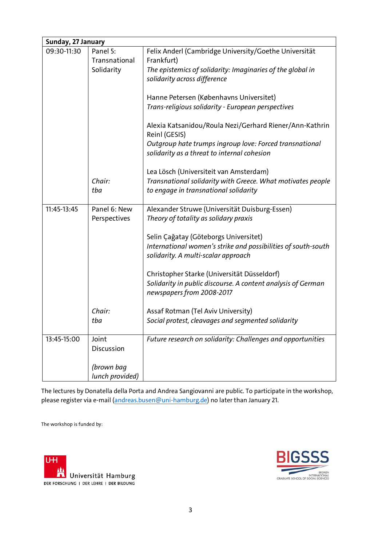| Sunday, 27 January |                 |                                                                          |  |  |  |  |  |
|--------------------|-----------------|--------------------------------------------------------------------------|--|--|--|--|--|
| 09:30-11:30        | Panel 5:        | Felix Anderl (Cambridge University/Goethe Universität                    |  |  |  |  |  |
|                    | Transnational   | Frankfurt)                                                               |  |  |  |  |  |
|                    | Solidarity      | The epistemics of solidarity: Imaginaries of the global in               |  |  |  |  |  |
|                    |                 | solidarity across difference                                             |  |  |  |  |  |
|                    |                 |                                                                          |  |  |  |  |  |
|                    |                 | Hanne Petersen (Københavns Universitet)                                  |  |  |  |  |  |
|                    |                 | Trans-religious solidarity - European perspectives                       |  |  |  |  |  |
|                    |                 |                                                                          |  |  |  |  |  |
|                    |                 | Alexia Katsanidou/Roula Nezi/Gerhard Riener/Ann-Kathrin<br>Reinl (GESIS) |  |  |  |  |  |
|                    |                 | Outgroup hate trumps ingroup love: Forced transnational                  |  |  |  |  |  |
|                    |                 | solidarity as a threat to internal cohesion                              |  |  |  |  |  |
|                    |                 |                                                                          |  |  |  |  |  |
|                    |                 | Lea Lösch (Universiteit van Amsterdam)                                   |  |  |  |  |  |
|                    | Chair:          | Transnational solidarity with Greece. What motivates people              |  |  |  |  |  |
|                    | tba             | to engage in transnational solidarity                                    |  |  |  |  |  |
|                    |                 |                                                                          |  |  |  |  |  |
| 11:45-13:45        | Panel 6: New    | Alexander Struwe (Universität Duisburg-Essen)                            |  |  |  |  |  |
|                    | Perspectives    | Theory of totality as solidary praxis                                    |  |  |  |  |  |
|                    |                 |                                                                          |  |  |  |  |  |
|                    |                 | Selin Çağatay (Göteborgs Universitet)                                    |  |  |  |  |  |
|                    |                 | International women's strike and possibilities of south-south            |  |  |  |  |  |
|                    |                 | solidarity. A multi-scalar approach                                      |  |  |  |  |  |
|                    |                 |                                                                          |  |  |  |  |  |
|                    |                 | Christopher Starke (Universität Düsseldorf)                              |  |  |  |  |  |
|                    |                 | Solidarity in public discourse. A content analysis of German             |  |  |  |  |  |
|                    |                 | newspapers from 2008-2017                                                |  |  |  |  |  |
|                    |                 |                                                                          |  |  |  |  |  |
|                    | Chair:          | Assaf Rotman (Tel Aviv University)                                       |  |  |  |  |  |
|                    | tba             | Social protest, cleavages and segmented solidarity                       |  |  |  |  |  |
|                    |                 |                                                                          |  |  |  |  |  |
| 13:45-15:00        | Joint           | Future research on solidarity: Challenges and opportunities              |  |  |  |  |  |
|                    | Discussion      |                                                                          |  |  |  |  |  |
|                    |                 |                                                                          |  |  |  |  |  |
|                    | (brown bag      |                                                                          |  |  |  |  |  |
|                    | lunch provided) |                                                                          |  |  |  |  |  |

The lectures by Donatella della Porta and Andrea Sangiovanni are public. To participate in the workshop, please register via e-mail [\(andreas.busen@uni-hamburg.de\)](mailto:andreas.busen@uni-hamburg.de) no later than January 21.

The workshop is funded by: